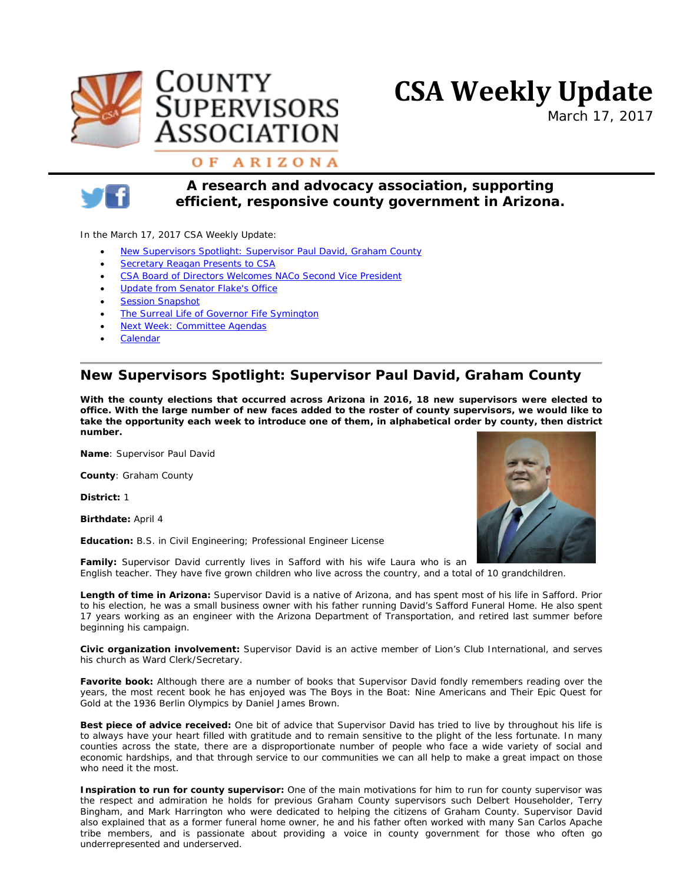





*March 17, 2017*

### OF ARIZONA



*A research and advocacy association, supporting efficient, responsive county government in Arizona.*

In the March 17, 2017 CSA Weekly Update:

- New Supervisors Spotlight: Supervisor [Paul David, Graham County](#page-0-0)
- **[Secretary Reagan Presents to CSA](#page-1-0)**
- [CSA Board of Directors Welcomes NACo Second Vice President](#page-1-1)
- [Update from Senator Flake's Office](#page-2-0)
- **[Session Snapshot](#page-1-0)**
- [The Surreal Life of Governor Fife Symington](#page-2-1)
- Next Week: Committee Agendas
- **[Calendar](http://www.countysupervisors.org/meetings-events/)**

# <span id="page-0-0"></span>**New Supervisors Spotlight: Supervisor Paul David, Graham County**

*With the county elections that occurred across Arizona in 2016, 18 new supervisors were elected to office. With the large number of new faces added to the roster of county supervisors, we would like to take the opportunity each week to introduce one of them, in alphabetical order by county, then district number.*

**Name**: Supervisor Paul David

**County**: Graham County

**District:** 1

**Birthdate:** April 4

**Education:** B.S. in Civil Engineering; Professional Engineer License



**Family:** Supervisor David currently lives in Safford with his wife Laura who is an English teacher. They have five grown children who live across the country, and a total of 10 grandchildren.

**Length of time in Arizona:** Supervisor David is a native of Arizona, and has spent most of his life in Safford. Prior to his election, he was a small business owner with his father running David's Safford Funeral Home. He also spent 17 years working as an engineer with the Arizona Department of Transportation, and retired last summer before beginning his campaign.

**Civic organization involvement:** Supervisor David is an active member of Lion's Club International, and serves his church as Ward Clerk/Secretary.

**Favorite book:** Although there are a number of books that Supervisor David fondly remembers reading over the years, the most recent book he has enjoyed was *The Boys in the Boat: Nine Americans and Their Epic Quest for Gold at the 1936 Berlin Olympics* by Daniel James Brown.

**Best piece of advice received:** One bit of advice that Supervisor David has tried to live by throughout his life is to always have your heart filled with gratitude and to remain sensitive to the plight of the less fortunate. In many counties across the state, there are a disproportionate number of people who face a wide variety of social and economic hardships, and that through service to our communities we can all help to make a great impact on those who need it the most.

**Inspiration to run for county supervisor:** One of the main motivations for him to run for county supervisor was the respect and admiration he holds for previous Graham County supervisors such Delbert Householder, Terry Bingham, and Mark Harrington who were dedicated to helping the citizens of Graham County. Supervisor David also explained that as a former funeral home owner, he and his father often worked with many San Carlos Apache tribe members, and is passionate about providing a voice in county government for those who often go underrepresented and underserved.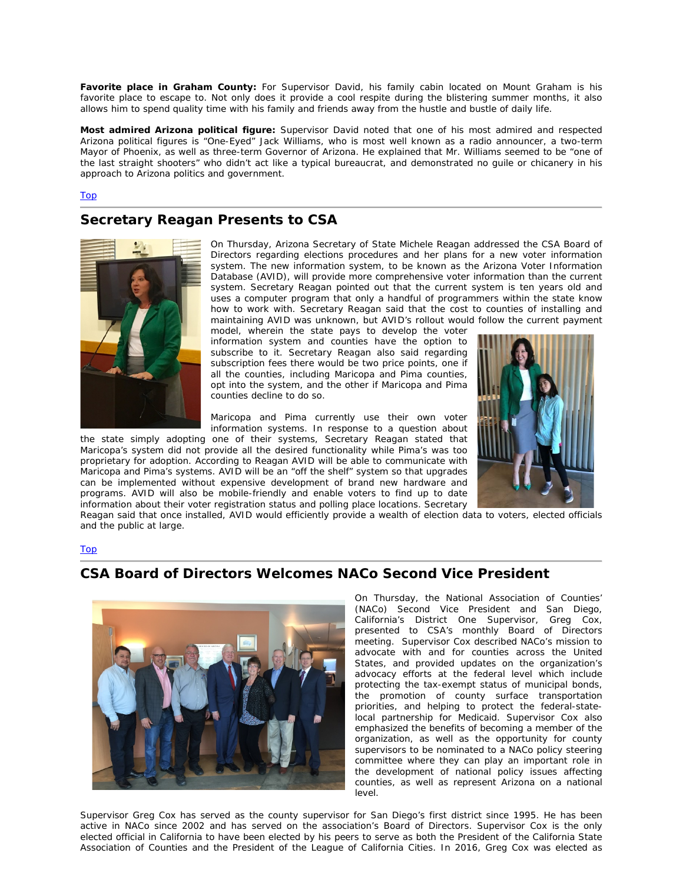**Favorite place in Graham County:** For Supervisor David, his family cabin located on Mount Graham is his favorite place to escape to. Not only does it provide a cool respite during the blistering summer months, it also allows him to spend quality time with his family and friends away from the hustle and bustle of daily life.

**Most admired Arizona political figure:** Supervisor David noted that one of his most admired and respected Arizona political figures is "One-Eyed" Jack Williams, who is most well known as a radio announcer, a two-term Mayor of Phoenix, as well as three-term Governor of Arizona. He explained that Mr. Williams seemed to be "one of the last straight shooters" who didn't act like a typical bureaucrat, and demonstrated no guile or chicanery in his approach to Arizona politics and government.

#### Top

### <span id="page-1-0"></span>**Secretary Reagan Presents to CSA**



On Thursday, Arizona Secretary of State Michele Reagan addressed the CSA Board of Directors regarding elections procedures and her plans for a new voter information system. The new information system, to be known as the Arizona Voter Information Database (AVID), will provide more comprehensive voter information than the current system. Secretary Reagan pointed out that the current system is ten years old and uses a computer program that only a handful of programmers within the state know how to work with. Secretary Reagan said that the cost to counties of installing and maintaining AVID was unknown, but AVID's rollout would follow the current payment

model, wherein the state pays to develop the voter information system and counties have the option to subscribe to it. Secretary Reagan also said regarding subscription fees there would be two price points, one if all the counties, including Maricopa and Pima counties, opt into the system, and the other if Maricopa and Pima counties decline to do so.

Maricopa and Pima currently use their own voter information systems. In response to a question about

the state simply adopting one of their systems, Secretary Reagan stated that Maricopa's system did not provide all the desired functionality while Pima's was too proprietary for adoption. According to Reagan AVID will be able to communicate with Maricopa and Pima's systems. AVID will be an "off the shelf" system so that upgrades can be implemented without expensive development of brand new hardware and programs. AVID will also be mobile-friendly and enable voters to find up to date information about their voter registration status and polling place locations. Secretary



Reagan said that once installed, AVID would efficiently provide a wealth of election data to voters, elected officials and the public at large.

Top



### <span id="page-1-1"></span>**CSA Board of Directors Welcomes NACo Second Vice President**

On Thursday, the National Association of Counties' (NACo) Second Vice President and San Diego, California's District One Supervisor, Greg Cox, presented to CSA's monthly Board of Directors meeting. Supervisor Cox described NACo's mission to advocate with and for counties across the United States, and provided updates on the organization's advocacy efforts at the federal level which include protecting the tax-exempt status of municipal bonds, the promotion of county surface transportation priorities, and helping to protect the federal-statelocal partnership for Medicaid. Supervisor Cox also emphasized the benefits of becoming a member of the organization, as well as the opportunity for county supervisors to be nominated to a NACo policy steering committee where they can play an important role in the development of national policy issues affecting counties, as well as represent Arizona on a national level.

Supervisor Greg Cox has served as the county supervisor for San Diego's first district since 1995. He has been active in NACo since 2002 and has served on the association's Board of Directors. Supervisor Cox is the only elected official in California to have been elected by his peers to serve as both the President of the California State Association of Counties and the President of the League of California Cities. In 2016, Greg Cox was elected as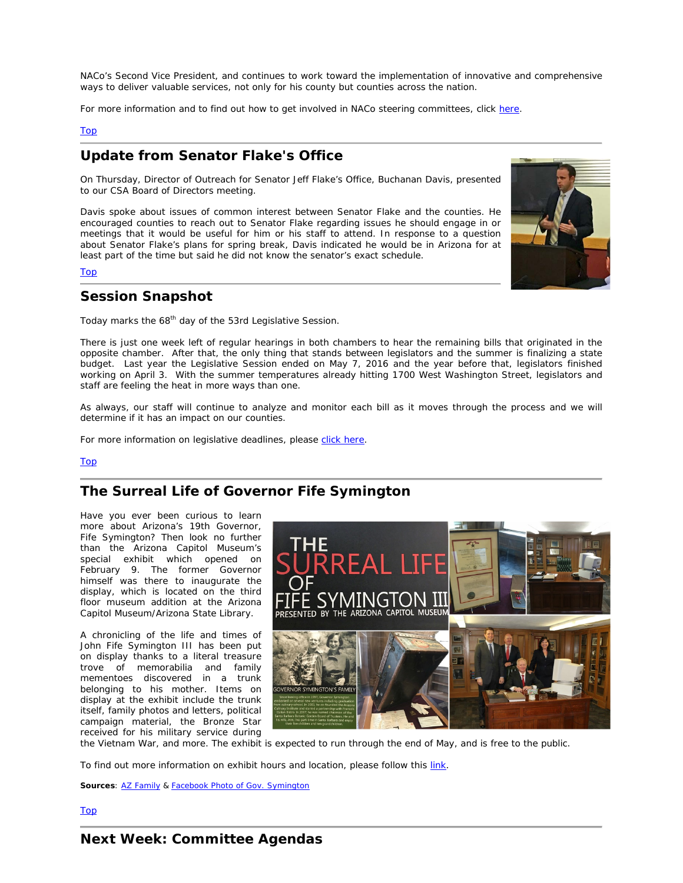NACo's Second Vice President, and continues to work toward the implementation of innovative and comprehensive ways to deliver valuable services, not only for his county but counties across the nation.

For more information and to find out how to get involved in NACo steering committees, click [here.](http://www.naco.org/sites/default/files/documents/Get_Involved_NEW_2015.pdf)

#### Top

## <span id="page-2-0"></span>**Update from Senator Flake's Office**

On Thursday, Director of Outreach for Senator Jeff Flake's Office, Buchanan Davis, presented to our CSA Board of Directors meeting.

Davis spoke about issues of common interest between Senator Flake and the counties. He encouraged counties to reach out to Senator Flake regarding issues he should engage in or meetings that it would be useful for him or his staff to attend. In response to a question about Senator Flake's plans for spring break, Davis indicated he would be in Arizona for at least part of the time but said he did not know the senator's exact schedule.

#### Top



## **Session Snapshot**

Today marks the 68<sup>th</sup> day of the 53rd Legislative Session.

There is just one week left of regular hearings in both chambers to hear the remaining bills that originated in the opposite chamber. After that, the only thing that stands between legislators and the summer is finalizing a state budget. Last year the Legislative Session ended on May 7, 2016 and the year before that, legislators finished working on April 3. With the summer temperatures already hitting 1700 West Washington Street, legislators and staff are feeling the heat in more ways than one.

As always, our staff will continue to analyze and monitor each bill as it moves through the process and we will determine if it has an impact on our counties.

For more information on legislative deadlines, please [click here.](http://www.azleg.gov/alispdfs/senatedeadlines.pdf)

#### Top

## <span id="page-2-1"></span>**The Surreal Life of Governor Fife Symington**

Have you ever been curious to learn more about Arizona's 19th Governor, Fife Symington? Then look no further than the Arizona Capitol Museum's special exhibit which opened on February 9. The former Governor himself was there to inaugurate the display, which is located on the third floor museum addition at the Arizona Capitol Museum/Arizona State Library.

A chronicling of the life and times of John Fife Symington III has been put on display thanks to a literal treasure trove of memorabilia and family mementoes discovered in a trunk belonging to his mother. Items on display at the exhibit include the trunk itself, family photos and letters, political campaign material, the Bronze Star received for his military service during



the Vietnam War, and more. The exhibit is expected to run through the end of May, and is free to the public.

To find out more information on exhibit hours and location, please follow this [link.](https://www.azlibrary.gov/azcm)

**Sources: [AZ Family](http://www.azfamily.com/story/34456649/arizona-capitol-museum-to-open-exhibit-on-ex-gov-symington) & [Facebook Photo of Gov. Symington](https://www.facebook.com/pg/AZCapitolMuseum/photos/)**